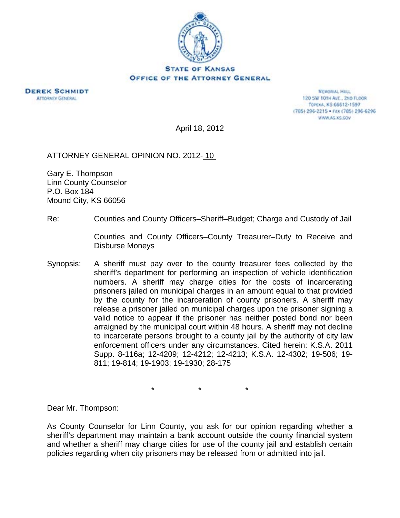

**DEREK SCHMIDT ATTORNEY GENERAL** 

**MEMORIAL HALL** 120 SW 101H AVE., 2ND FLOOR TOPEXA, KS 66612-1597 (785) 296-2215 · FAX (785) 296-6296 WWW.AG.XS.COV

April 18, 2012

## ATTORNEY GENERAL OPINION NO. 2012- 10

Gary E. Thompson Linn County Counselor P.O. Box 184 Mound City, KS 66056

Re: Counties and County Officers–Sheriff–Budget; Charge and Custody of Jail

 Counties and County Officers–County Treasurer–Duty to Receive and Disburse Moneys

Synopsis: A sheriff must pay over to the county treasurer fees collected by the sheriff's department for performing an inspection of vehicle identification numbers. A sheriff may charge cities for the costs of incarcerating prisoners jailed on municipal charges in an amount equal to that provided by the county for the incarceration of county prisoners. A sheriff may release a prisoner jailed on municipal charges upon the prisoner signing a valid notice to appear if the prisoner has neither posted bond nor been arraigned by the municipal court within 48 hours. A sheriff may not decline to incarcerate persons brought to a county jail by the authority of city law enforcement officers under any circumstances. Cited herein: K.S.A. 2011 Supp. 8-116a; 12-4209; 12-4212; 12-4213; K.S.A. 12-4302; 19-506; 19- 811; 19-814; 19-1903; 19-1930; 28-175

\* \* \*

Dear Mr. Thompson:

As County Counselor for Linn County, you ask for our opinion regarding whether a sheriff's department may maintain a bank account outside the county financial system and whether a sheriff may charge cities for use of the county jail and establish certain policies regarding when city prisoners may be released from or admitted into jail.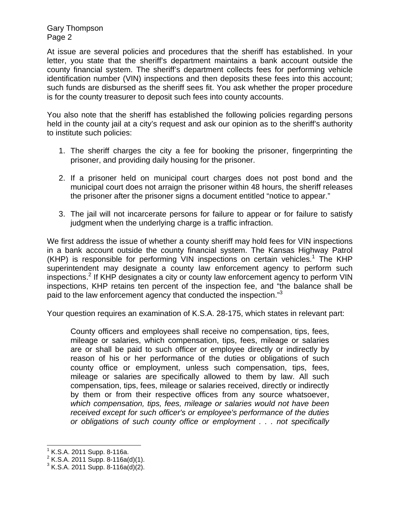At issue are several policies and procedures that the sheriff has established. In your letter, you state that the sheriff's department maintains a bank account outside the county financial system. The sheriff's department collects fees for performing vehicle identification number (VIN) inspections and then deposits these fees into this account; such funds are disbursed as the sheriff sees fit. You ask whether the proper procedure is for the county treasurer to deposit such fees into county accounts.

You also note that the sheriff has established the following policies regarding persons held in the county jail at a city's request and ask our opinion as to the sheriff's authority to institute such policies:

- 1. The sheriff charges the city a fee for booking the prisoner, fingerprinting the prisoner, and providing daily housing for the prisoner.
- 2. If a prisoner held on municipal court charges does not post bond and the municipal court does not arraign the prisoner within 48 hours, the sheriff releases the prisoner after the prisoner signs a document entitled "notice to appear."
- 3. The jail will not incarcerate persons for failure to appear or for failure to satisfy judgment when the underlying charge is a traffic infraction.

We first address the issue of whether a county sheriff may hold fees for VIN inspections in a bank account outside the county financial system. The Kansas Highway Patrol (KHP) is responsible for performing VIN inspections on certain vehicles.<sup>1</sup> The KHP superintendent may designate a county law enforcement agency to perform such inspections.<sup>2</sup> If KHP designates a city or county law enforcement agency to perform VIN inspections, KHP retains ten percent of the inspection fee, and "the balance shall be paid to the law enforcement agency that conducted the inspection."<sup>3</sup>

Your question requires an examination of K.S.A. 28-175, which states in relevant part:

County officers and employees shall receive no compensation, tips, fees, mileage or salaries, which compensation, tips, fees, mileage or salaries are or shall be paid to such officer or employee directly or indirectly by reason of his or her performance of the duties or obligations of such county office or employment, unless such compensation, tips, fees, mileage or salaries are specifically allowed to them by law. All such compensation, tips, fees, mileage or salaries received, directly or indirectly by them or from their respective offices from any source whatsoever, *which compensation, tips, fees, mileage or salaries would not have been received except for such officer's or employee's performance of the duties or obligations of such county office or employment . . . not specifically* 

l

 $1$  K.S.A. 2011 Supp. 8-116a.

 $2$  K.S.A. 2011 Supp. 8-116a(d)(1).

 $3$  K.S.A. 2011 Supp. 8-116a(d)(2).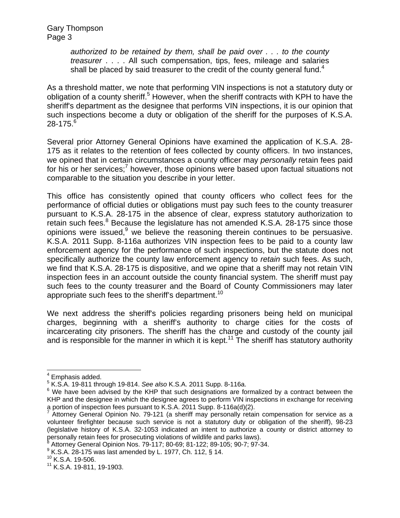> *authorized to be retained by them, shall be paid over . . . to the county treasurer* . . . . All such compensation, tips, fees, mileage and salaries shall be placed by said treasurer to the credit of the county general fund.<sup>4</sup>

As a threshold matter, we note that performing VIN inspections is not a statutory duty or obligation of a county sheriff.<sup>5</sup> However, when the sheriff contracts with KPH to have the sheriff's department as the designee that performs VIN inspections, it is our opinion that such inspections become a duty or obligation of the sheriff for the purposes of K.S.A.  $28 - 175.<sup>6</sup>$ 

Several prior Attorney General Opinions have examined the application of K.S.A. 28- 175 as it relates to the retention of fees collected by county officers. In two instances, we opined that in certain circumstances a county officer may *personally* retain fees paid for his or her services;<sup>7</sup> however, those opinions were based upon factual situations not comparable to the situation you describe in your letter.

This office has consistently opined that county officers who collect fees for the performance of official duties or obligations must pay such fees to the county treasurer pursuant to K.S.A. 28-175 in the absence of clear, express statutory authorization to retain such fees. $8$  Because the legislature has not amended K.S.A. 28-175 since those opinions were issued, $9$  we believe the reasoning therein continues to be persuasive. K.S.A. 2011 Supp. 8-116a authorizes VIN inspection fees to be paid to a county law enforcement agency for the performance of such inspections, but the statute does not specifically authorize the county law enforcement agency to *retain* such fees. As such, we find that K.S.A. 28-175 is dispositive, and we opine that a sheriff may not retain VIN inspection fees in an account outside the county financial system. The sheriff must pay such fees to the county treasurer and the Board of County Commissioners may later appropriate such fees to the sheriff's department.<sup>10</sup>

We next address the sheriff's policies regarding prisoners being held on municipal charges, beginning with a sheriff's authority to charge cities for the costs of incarcerating city prisoners. The sheriff has the charge and custody of the county jail and is responsible for the manner in which it is kept.<sup>11</sup> The sheriff has statutory authority

 $\overline{a}$ <sup>4</sup> Emphasis added.

 $^5$  K.S.A. 19-811 through 19-814. *See also* K.S.A. 2011 Supp. 8-116a.<br> $^6$  M/s have been advised by the KHR that such designations are for

 $6$  We have been advised by the KHP that such designations are formalized by a contract between the KHP and the designee in which the designee agrees to perform VIN inspections in exchange for receiving a portion of inspection fees pursuant to K.S.A. 2011 Supp. 8-116a(d)(2).

<sup>7</sup> Attorney General Opinion No. 79-121 (a sheriff may personally retain compensation for service as a volunteer firefighter because such service is not a statutory duty or obligation of the sheriff), 98-23 (legislative history of K.S.A. 32-1053 indicated an intent to authorize a county or district attorney to personally retain fees for prosecuting violations of wildlife and parks laws).

Attorney General Opinion Nos. 79-117; 80-69; 81-122; 89-105; 90-7; 97-34.

<sup>&</sup>lt;sup>9</sup> K.S.A. 28-175 was last amended by L. 1977, Ch. 112, § 14.<br><sup>10</sup> K.S.A. 19-506.

<sup>&</sup>lt;sup>10</sup> K.S.A. 19-506.<br><sup>11</sup> K.S.A. 19-811, 19-1903.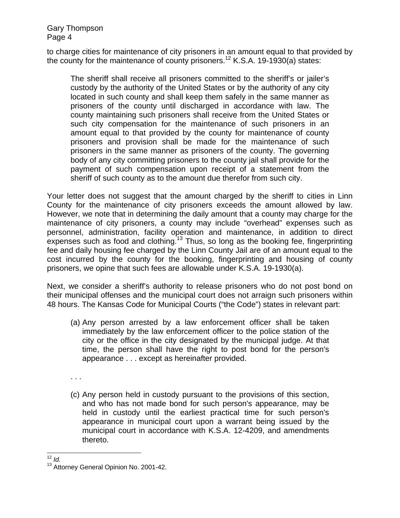to charge cities for maintenance of city prisoners in an amount equal to that provided by the county for the maintenance of county prisoners.<sup>12</sup> K.S.A. 19-1930(a) states:

The sheriff shall receive all prisoners committed to the sheriff's or jailer's custody by the authority of the United States or by the authority of any city located in such county and shall keep them safely in the same manner as prisoners of the county until discharged in accordance with law. The county maintaining such prisoners shall receive from the United States or such city compensation for the maintenance of such prisoners in an amount equal to that provided by the county for maintenance of county prisoners and provision shall be made for the maintenance of such prisoners in the same manner as prisoners of the county. The governing body of any city committing prisoners to the county jail shall provide for the payment of such compensation upon receipt of a statement from the sheriff of such county as to the amount due therefor from such city.

Your letter does not suggest that the amount charged by the sheriff to cities in Linn County for the maintenance of city prisoners exceeds the amount allowed by law. However, we note that in determining the daily amount that a county may charge for the maintenance of city prisoners, a county may include "overhead" expenses such as personnel, administration, facility operation and maintenance, in addition to direct expenses such as food and clothing.<sup>13</sup> Thus, so long as the booking fee, fingerprinting fee and daily housing fee charged by the Linn County Jail are of an amount equal to the cost incurred by the county for the booking, fingerprinting and housing of county prisoners, we opine that such fees are allowable under K.S.A. 19-1930(a).

Next, we consider a sheriff's authority to release prisoners who do not post bond on their municipal offenses and the municipal court does not arraign such prisoners within 48 hours. The Kansas Code for Municipal Courts ("the Code") states in relevant part:

(a) Any person arrested by a law enforcement officer shall be taken immediately by the law enforcement officer to the police station of the city or the office in the city designated by the municipal judge. At that time, the person shall have the right to post bond for the person's appearance . . . except as hereinafter provided.

. . .

(c) Any person held in custody pursuant to the provisions of this section, and who has not made bond for such person's appearance, may be held in custody until the earliest practical time for such person's appearance in municipal court upon a warrant being issued by the municipal court in accordance with K.S.A. 12-4209, and amendments thereto.

 $12$  Id.

<sup>&</sup>lt;sup>13</sup> Attorney General Opinion No. 2001-42.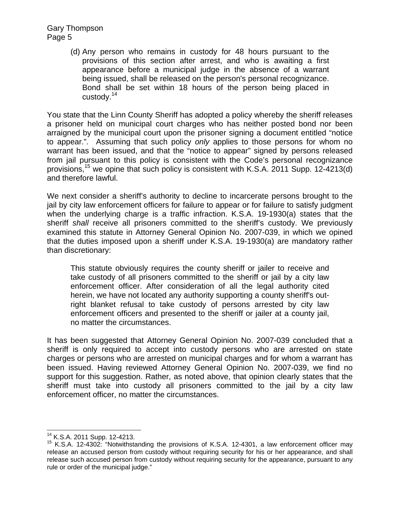> (d) Any person who remains in custody for 48 hours pursuant to the provisions of this section after arrest, and who is awaiting a first appearance before a municipal judge in the absence of a warrant being issued, shall be released on the person's personal recognizance. Bond shall be set within 18 hours of the person being placed in custody.<sup>14</sup>

You state that the Linn County Sheriff has adopted a policy whereby the sheriff releases a prisoner held on municipal court charges who has neither posted bond nor been arraigned by the municipal court upon the prisoner signing a document entitled "notice to appear.". Assuming that such policy *only* applies to those persons for whom no warrant has been issued, and that the "notice to appear" signed by persons released from jail pursuant to this policy is consistent with the Code's personal recognizance provisions,<sup>15</sup> we opine that such policy is consistent with K.S.A. 2011 Supp. 12-4213(d) and therefore lawful.

We next consider a sheriff's authority to decline to incarcerate persons brought to the jail by city law enforcement officers for failure to appear or for failure to satisfy judgment when the underlying charge is a traffic infraction. K.S.A. 19-1930(a) states that the sheriff *shall* receive all prisoners committed to the sheriff's custody. We previously examined this statute in Attorney General Opinion No. 2007-039, in which we opined that the duties imposed upon a sheriff under K.S.A. 19-1930(a) are mandatory rather than discretionary:

This statute obviously requires the county sheriff or jailer to receive and take custody of all prisoners committed to the sheriff or jail by a city law enforcement officer. After consideration of all the legal authority cited herein, we have not located any authority supporting a county sheriff's outright blanket refusal to take custody of persons arrested by city law enforcement officers and presented to the sheriff or jailer at a county jail, no matter the circumstances.

It has been suggested that Attorney General Opinion No. 2007-039 concluded that a sheriff is only required to accept into custody persons who are arrested on state charges or persons who are arrested on municipal charges and for whom a warrant has been issued. Having reviewed Attorney General Opinion No. 2007-039, we find no support for this suggestion. Rather, as noted above, that opinion clearly states that the sheriff must take into custody all prisoners committed to the jail by a city law enforcement officer, no matter the circumstances.

<sup>&</sup>lt;sup>14</sup> K.S.A. 2011 Supp. 12-4213.

 $15$  K.S.A. 12-4302: "Notwithstanding the provisions of K.S.A. 12-4301, a law enforcement officer may release an accused person from custody without requiring security for his or her appearance, and shall release such accused person from custody without requiring security for the appearance, pursuant to any rule or order of the municipal judge."